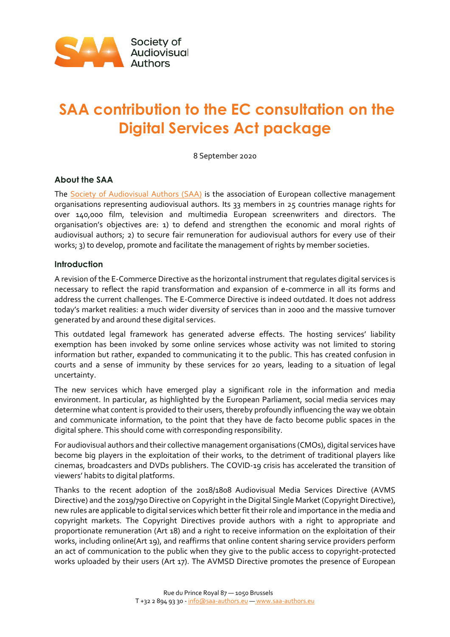

# **SAA contribution to the EC consultation on the Digital Services Act package**

8 September 2020

# **About the SAA**

The **Society of Audiovisual Authors (SAA)** is the association of European collective management organisations representing audiovisual authors. Its 33 members in 25 countries manage rights for over 140,000 film, television and multimedia European screenwriters and directors. The organisation's objectives are: 1) to defend and strengthen the economic and moral rights of audiovisual authors; 2) to secure fair remuneration for audiovisual authors for every use of their works; 3) to develop, promote and facilitate the management of rights by member societies.

## **Introduction**

A revision of the E-Commerce Directive as the horizontal instrument that regulates digital services is necessary to reflect the rapid transformation and expansion of e-commerce in all its forms and address the current challenges. The E-Commerce Directive is indeed outdated. It does not address today's market realities: a much wider diversity of services than in 2000 and the massive turnover generated by and around these digital services.

This outdated legal framework has generated adverse effects. The hosting services' liability exemption has been invoked by some online services whose activity was not limited to storing information but rather, expanded to communicating it to the public. This has created confusion in courts and a sense of immunity by these services for 20 years, leading to a situation of legal uncertainty.

The new services which have emerged play a significant role in the information and media environment. In particular, as highlighted by the European Parliament, social media services may determine what content is provided to their users, thereby profoundly influencing the way we obtain and communicate information, to the point that they have de facto become public spaces in the digital sphere. This should come with corresponding responsibility.

For audiovisual authors and their collective management organisations (CMOs), digital services have become big players in the exploitation of their works, to the detriment of traditional players like cinemas, broadcasters and DVDs publishers. The COVID-19 crisis has accelerated the transition of viewers' habits to digital platforms.

Thanks to the recent adoption of the 2018/1808 Audiovisual Media Services Directive (AVMS Directive) and the 2019/790 Directive on Copyright in the Digital Single Market (Copyright Directive), new rules are applicable to digital services which better fit their role and importance in the media and copyright markets. The Copyright Directives provide authors with a right to appropriate and proportionate remuneration (Art 18) and a right to receive information on the exploitation of their works, including online(Art 19), and reaffirms that online content sharing service providers perform an act of communication to the public when they give to the public access to copyright-protected works uploaded by their users (Art 17). The AVMSD Directive promotes the presence of European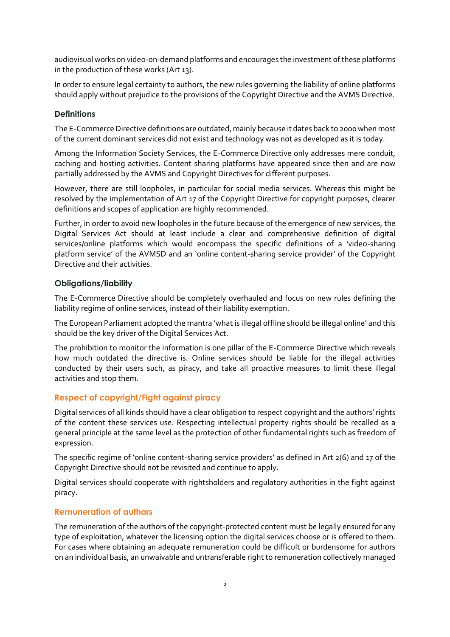audiovisual works on video-on-demand platforms and encourages the investment of these platforms in the production of these works (Art 13).

In order to ensure legal certainty to authors, the new rules governing the liability of online platforms should apply without prejudice to the provisions of the Copyright Directive and the AVMS Directive.

## **Definitions**

The E-Commerce Directive definitions are outdated, mainly because it dates back to 2000 when most of the current dominant services did not exist and technology was not as developed as it is today.

Among the Information Society Services, the E-Commerce Directive only addresses mere conduit, caching and hosting activities. Content sharing platforms have appeared since then and are now partially addressed by the AVMS and Copyright Directives for different purposes.

However, there are still loopholes, in particular for social media services. Whereas this might be resolved by the implementation of Art 17 of the Copyright Directive for copyright purposes, clearer definitions and scopes of application are highly recommended.

Further, in order to avoid new loopholes in the future because of the emergence of new services, the Digital Services Act should at least include a clear and comprehensive definition of digital services/online platforms which would encompass the specific definitions of a 'video-sharing platform service' of the AVMSD and an 'online content-sharing service provider' of the Copyright Directive and their activities.

## **Obligations/liability**

The E-Commerce Directive should be completely overhauled and focus on new rules defining the liability regime of online services, instead of their liability exemption.

The European Parliament adopted the mantra 'what is illegal offline should be illegal online' and this should be the key driver of the Digital Services Act.

The prohibition to monitor the information is one pillar of the E-Commerce Directive which reveals how much outdated the directive is. Online services should be liable for the illegal activities conducted by their users such, as piracy, and take all proactive measures to limit these illegal activities and stop them.

# **Respect of copyright/Fight against piracy**

Digital services of all kinds should have a clear obligation to respect copyright and the authors' rights of the content these services use. Respecting intellectual property rights should be recalled as a general principle at the same level as the protection of other fundamental rights such as freedom of expression.

The specific regime of 'online content-sharing service providers' as defined in Art 2(6) and 17 of the Copyright Directive should not be revisited and continue to apply.

Digital services should cooperate with rightsholders and regulatory authorities in the fight against piracy.

## **Remuneration of authors**

The remuneration of the authors of the copyright-protected content must be legally ensured for any type of exploitation, whatever the licensing option the digital services choose or is offered to them. For cases where obtaining an adequate remuneration could be difficult or burdensome for authors on an individual basis, an unwaivable and untransferable right to remuneration collectively managed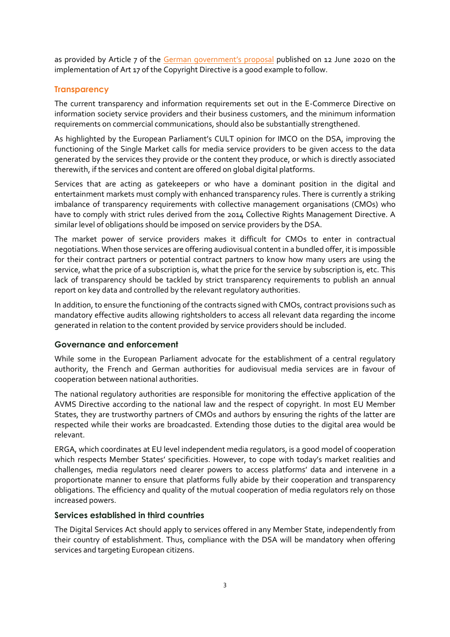as provided by Article 7 of the [German government's proposal](https://www.bmjv.de/SharedDocs/Gesetzgebungsverfahren/Dokumente/DiskE_II_Anpassung%20Urheberrecht_digitaler_Binnenmarkt_englischeInfo.pdf?__blob=publicationFile&v=4) published on 12 June 2020 on the implementation of Art 17 of the Copyright Directive is a good example to follow.

## **Transparency**

The current transparency and information requirements set out in the E-Commerce Directive on information society service providers and their business customers, and the minimum information requirements on commercial communications, should also be substantially strengthened.

As highlighted by the European Parliament's CULT opinion for IMCO on the DSA, improving the functioning of the Single Market calls for media service providers to be given access to the data generated by the services they provide or the content they produce, or which is directly associated therewith, if the services and content are offered on global digital platforms.

Services that are acting as gatekeepers or who have a dominant position in the digital and entertainment markets must comply with enhanced transparency rules. There is currently a striking imbalance of transparency requirements with collective management organisations (CMOs) who have to comply with strict rules derived from the 2014 Collective Rights Management Directive. A similar level of obligations should be imposed on service providers by the DSA.

The market power of service providers makes it difficult for CMOs to enter in contractual negotiations. When those services are offering audiovisual content in a bundled offer, it is impossible for their contract partners or potential contract partners to know how many users are using the service, what the price of a subscription is, what the price for the service by subscription is, etc. This lack of transparency should be tackled by strict transparency requirements to publish an annual report on key data and controlled by the relevant regulatory authorities.

In addition, to ensure the functioning of the contracts signed with CMOs, contract provisions such as mandatory effective audits allowing rightsholders to access all relevant data regarding the income generated in relation to the content provided by service providers should be included.

## **Governance and enforcement**

While some in the European Parliament advocate for the establishment of a central regulatory authority, the French and German authorities for audiovisual media services are in favour of cooperation between national authorities.

The national regulatory authorities are responsible for monitoring the effective application of the AVMS Directive according to the national law and the respect of copyright. In most EU Member States, they are trustworthy partners of CMOs and authors by ensuring the rights of the latter are respected while their works are broadcasted. Extending those duties to the digital area would be relevant.

ERGA, which coordinates at EU level independent media regulators, is a good model of cooperation which respects Member States' specificities. However, to cope with today's market realities and challenges, media regulators need clearer powers to access platforms' data and intervene in a proportionate manner to ensure that platforms fully abide by their cooperation and transparency obligations. The efficiency and quality of the mutual cooperation of media regulators rely on those increased powers.

## **Services established in third countries**

The Digital Services Act should apply to services offered in any Member State, independently from their country of establishment. Thus, compliance with the DSA will be mandatory when offering services and targeting European citizens.